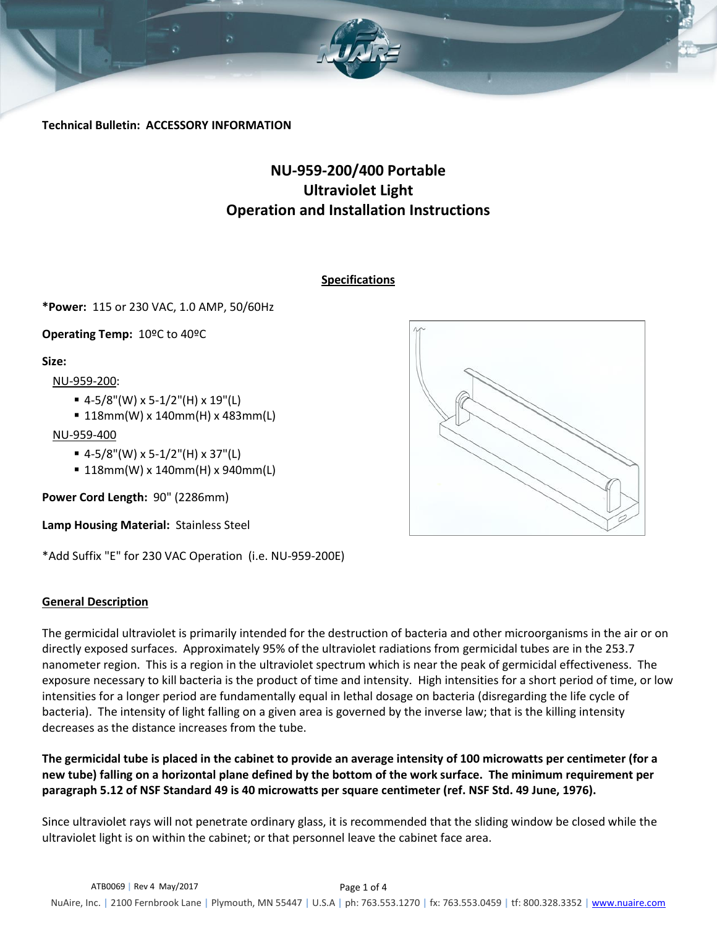

**Technical Bulletin: ACCESSORY INFORMATION**

# **NU-959-200/400 Portable Ultraviolet Light Operation and Installation Instructions**

## **Specifications**

**\*Power:** 115 or 230 VAC, 1.0 AMP, 50/60Hz

**Operating Temp:** 10ºC to 40ºC

#### **Size:**

NU-959-200:

- $=$  4-5/8"(W) x 5-1/2"(H) x 19"(L)
- 118mm(W) x 140mm(H) x 483mm(L)

## NU-959-400

- $=$  4-5/8"(W) x 5-1/2"(H) x 37"(L)
- 118mm(W) x 140mm(H) x 940mm(L)

**Power Cord Length:** 90" (2286mm)

**Lamp Housing Material:** Stainless Steel

\*Add Suffix "E" for 230 VAC Operation (i.e. NU-959-200E)

## **General Description**

The germicidal ultraviolet is primarily intended for the destruction of bacteria and other microorganisms in the air or on directly exposed surfaces. Approximately 95% of the ultraviolet radiations from germicidal tubes are in the 253.7 nanometer region. This is a region in the ultraviolet spectrum which is near the peak of germicidal effectiveness. The exposure necessary to kill bacteria is the product of time and intensity. High intensities for a short period of time, or low intensities for a longer period are fundamentally equal in lethal dosage on bacteria (disregarding the life cycle of bacteria). The intensity of light falling on a given area is governed by the inverse law; that is the killing intensity decreases as the distance increases from the tube.

**The germicidal tube is placed in the cabinet to provide an average intensity of 100 microwatts per centimeter (for a new tube) falling on a horizontal plane defined by the bottom of the work surface. The minimum requirement per paragraph 5.12 of NSF Standard 49 is 40 microwatts per square centimeter (ref. NSF Std. 49 June, 1976).**

Since ultraviolet rays will not penetrate ordinary glass, it is recommended that the sliding window be closed while the ultraviolet light is on within the cabinet; or that personnel leave the cabinet face area.

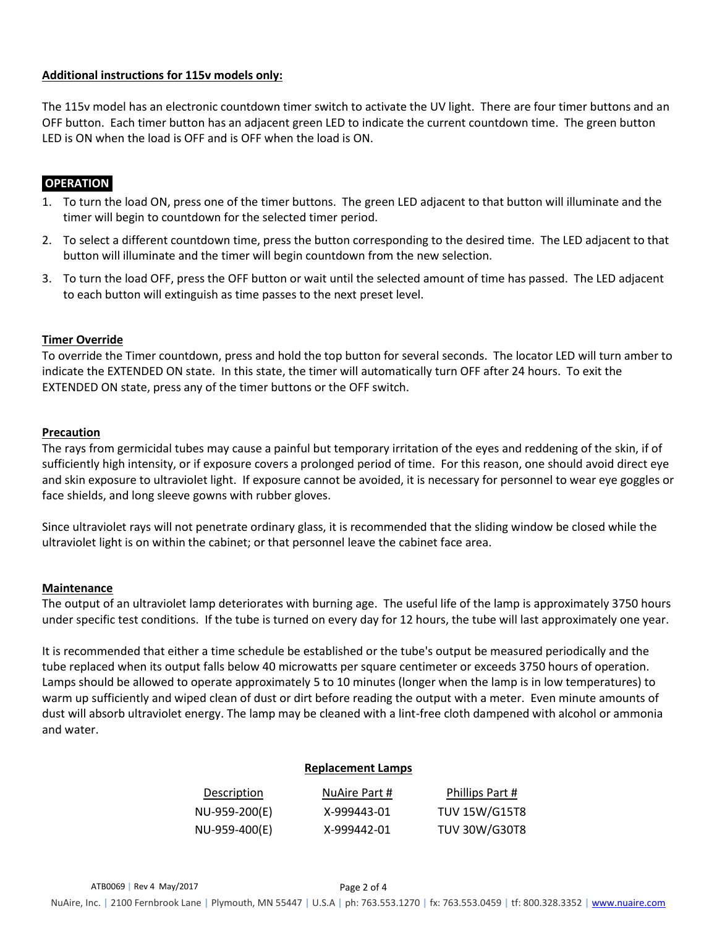## **Additional instructions for 115v models only:**

The 115v model has an electronic countdown timer switch to activate the UV light. There are four timer buttons and an OFF button. Each timer button has an adjacent green LED to indicate the current countdown time. The green button LED is ON when the load is OFF and is OFF when the load is ON.

## **OPERATION**.

- 1. To turn the load ON, press one of the timer buttons. The green LED adjacent to that button will illuminate and the timer will begin to countdown for the selected timer period.
- 2. To select a different countdown time, press the button corresponding to the desired time. The LED adjacent to that button will illuminate and the timer will begin countdown from the new selection.
- 3. To turn the load OFF, press the OFF button or wait until the selected amount of time has passed. The LED adjacent to each button will extinguish as time passes to the next preset level.

## **Timer Override**

To override the Timer countdown, press and hold the top button for several seconds. The locator LED will turn amber to indicate the EXTENDED ON state. In this state, the timer will automatically turn OFF after 24 hours. To exit the EXTENDED ON state, press any of the timer buttons or the OFF switch.

## **Precaution**

The rays from germicidal tubes may cause a painful but temporary irritation of the eyes and reddening of the skin, if of sufficiently high intensity, or if exposure covers a prolonged period of time. For this reason, one should avoid direct eye and skin exposure to ultraviolet light. If exposure cannot be avoided, it is necessary for personnel to wear eye goggles or face shields, and long sleeve gowns with rubber gloves.

Since ultraviolet rays will not penetrate ordinary glass, it is recommended that the sliding window be closed while the ultraviolet light is on within the cabinet; or that personnel leave the cabinet face area.

#### **Maintenance**

The output of an ultraviolet lamp deteriorates with burning age. The useful life of the lamp is approximately 3750 hours under specific test conditions. If the tube is turned on every day for 12 hours, the tube will last approximately one year.

It is recommended that either a time schedule be established or the tube's output be measured periodically and the tube replaced when its output falls below 40 microwatts per square centimeter or exceeds 3750 hours of operation. Lamps should be allowed to operate approximately 5 to 10 minutes (longer when the lamp is in low temperatures) to warm up sufficiently and wiped clean of dust or dirt before reading the output with a meter. Even minute amounts of dust will absorb ultraviolet energy. The lamp may be cleaned with a lint-free cloth dampened with alcohol or ammonia and water.

#### **Replacement Lamps**

| Description   | NuAire Part # | Phillips Part #      |
|---------------|---------------|----------------------|
| NU-959-200(E) | X-999443-01   | <b>TUV 15W/G15T8</b> |
| NU-959-400(E) | X-999442-01   | <b>TUV 30W/G30T8</b> |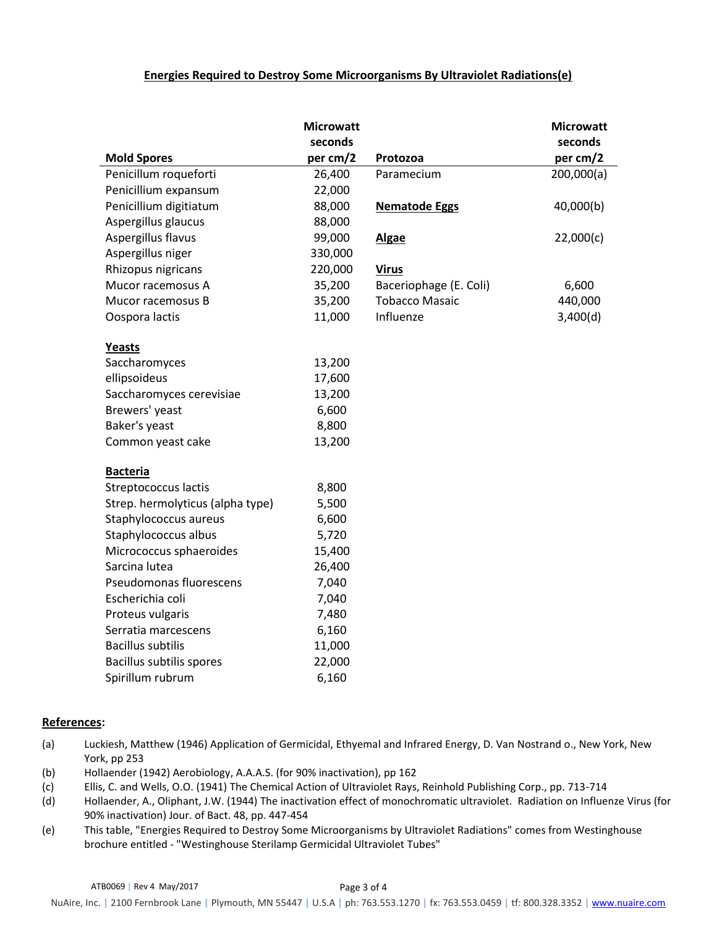#### **Energies Required to Destroy Some Microorganisms By Ultraviolet Radiations(e)**

|                                  | <b>Microwatt</b> |                        | <b>Microwatt</b> |
|----------------------------------|------------------|------------------------|------------------|
|                                  | seconds          |                        | seconds          |
| <b>Mold Spores</b>               | per cm/2         | Protozoa               | per cm/2         |
| Penicillum roqueforti            | 26,400           | Paramecium             | 200,000(a)       |
| Penicillium expansum             | 22,000           |                        |                  |
| Penicillium digitiatum           | 88,000           | <b>Nematode Eggs</b>   | 40,000(b)        |
| Aspergillus glaucus              | 88,000           |                        |                  |
| Aspergillus flavus               | 99,000           | <b>Algae</b>           | 22,000(c)        |
| Aspergillus niger                | 330,000          |                        |                  |
| Rhizopus nigricans               | 220,000          | <b>Virus</b>           |                  |
| Mucor racemosus A                | 35,200           | Baceriophage (E. Coli) | 6,600            |
| Mucor racemosus B                | 35,200           | <b>Tobacco Masaic</b>  | 440,000          |
| Oospora lactis                   | 11,000           | Influenze              | 3,400(d)         |
| Yeasts                           |                  |                        |                  |
| Saccharomyces                    | 13,200           |                        |                  |
| ellipsoideus                     | 17,600           |                        |                  |
| Saccharomyces cerevisiae         | 13,200           |                        |                  |
| Brewers' yeast                   | 6,600            |                        |                  |
| Baker's yeast                    | 8,800            |                        |                  |
| Common yeast cake                | 13,200           |                        |                  |
| <b>Bacteria</b>                  |                  |                        |                  |
| Streptococcus lactis             | 8,800            |                        |                  |
| Strep. hermolyticus (alpha type) | 5,500            |                        |                  |
| Staphylococcus aureus            | 6,600            |                        |                  |
| Staphylococcus albus             | 5,720            |                        |                  |
| Micrococcus sphaeroides          | 15,400           |                        |                  |
| Sarcina lutea                    | 26,400           |                        |                  |
| Pseudomonas fluorescens          | 7,040            |                        |                  |
| Escherichia coli                 | 7,040            |                        |                  |
| Proteus vulgaris                 | 7,480            |                        |                  |
| Serratia marcescens              | 6,160            |                        |                  |
| <b>Bacillus subtilis</b>         | 11,000           |                        |                  |
| Bacillus subtilis spores         | 22,000           |                        |                  |
| Spirillum rubrum                 | 6,160            |                        |                  |

#### **References:**

- (a) Luckiesh, Matthew (1946) Application of Germicidal, Ethyemal and Infrared Energy, D. Van Nostrand o., New York, New York, pp 253
- (b) Hollaender (1942) Aerobiology, A.A.A.S. (for 90% inactivation), pp 162
- (c) Ellis, C. and Wells, O.O. (1941) The Chemical Action of Ultraviolet Rays, Reinhold Publishing Corp., pp. 713-714
- (d) Hollaender, A., Oliphant, J.W. (1944) The inactivation effect of monochromatic ultraviolet. Radiation on Influenze Virus (for 90% inactivation) Jour. of Bact. 48, pp. 447-454
- (e) This table, "Energies Required to Destroy Some Microorganisms by Ultraviolet Radiations" comes from Westinghouse brochure entitled - "Westinghouse Sterilamp Germicidal Ultraviolet Tubes"